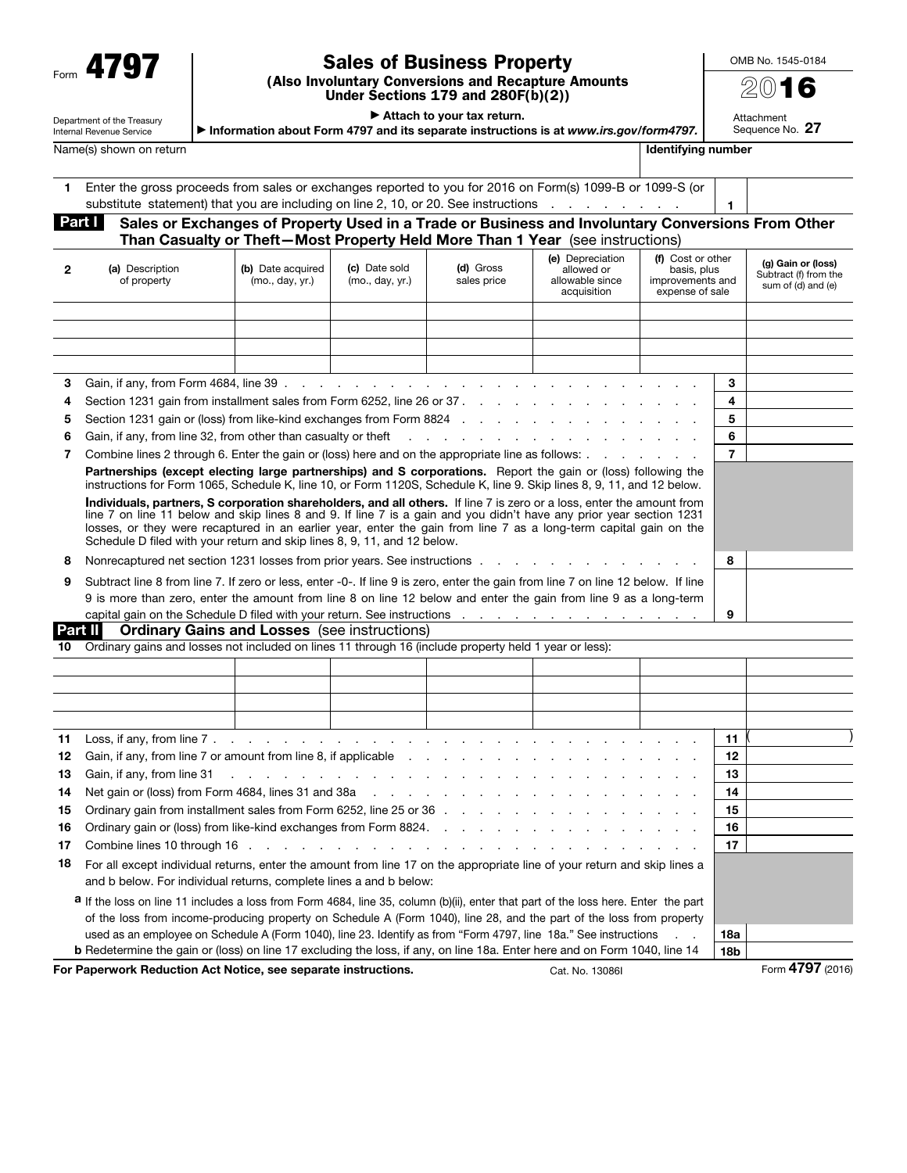| Form |
|------|
|------|

## Sales of Business Property

(Also Involuntary Conversions and Recapture Amounts Under Sections 179 and 280F(b)(2))

OMB No. 1545-0184

2016 Attachment Sequence No. 27

Department of the Treasury Internal Revenue Service

| Attach to your tax return.                                                            |
|---------------------------------------------------------------------------------------|
| Information about Form 4797 and its separate instructions is at www.irs.gov/form4797. |

| Name(s) shown on return | Identifying number |  |
|-------------------------|--------------------|--|

| entifying number |  |
|------------------|--|

| 1.     | Enter the gross proceeds from sales or exchanges reported to you for 2016 on Form(s) 1099-B or 1099-S (or<br>substitute statement) that you are including on line 2, 10, or 20. See instructions                                         |                                      |                                          |                                                                 |                                                                                                                     |                                                                         |        |                                                                   |
|--------|------------------------------------------------------------------------------------------------------------------------------------------------------------------------------------------------------------------------------------------|--------------------------------------|------------------------------------------|-----------------------------------------------------------------|---------------------------------------------------------------------------------------------------------------------|-------------------------------------------------------------------------|--------|-------------------------------------------------------------------|
|        | Part I                                                                                                                                                                                                                                   |                                      |                                          |                                                                 | Sales or Exchanges of Property Used in a Trade or Business and Involuntary Conversions From Other                   |                                                                         |        |                                                                   |
|        |                                                                                                                                                                                                                                          |                                      |                                          |                                                                 | Than Casualty or Theft-Most Property Held More Than 1 Year (see instructions)                                       |                                                                         |        |                                                                   |
| 2      | (a) Description<br>of property                                                                                                                                                                                                           | (b) Date acquired<br>(mo., day, yr.) | (c) Date sold<br>(mo., day, yr.)         | (d) Gross<br>sales price                                        | (e) Depreciation<br>allowed or<br>allowable since<br>acquisition                                                    | (f) Cost or other<br>basis, plus<br>improvements and<br>expense of sale |        | (g) Gain or (loss)<br>Subtract (f) from the<br>sum of (d) and (e) |
|        |                                                                                                                                                                                                                                          |                                      |                                          |                                                                 |                                                                                                                     |                                                                         |        |                                                                   |
|        |                                                                                                                                                                                                                                          |                                      |                                          |                                                                 |                                                                                                                     |                                                                         |        |                                                                   |
|        |                                                                                                                                                                                                                                          |                                      |                                          |                                                                 |                                                                                                                     |                                                                         |        |                                                                   |
|        |                                                                                                                                                                                                                                          |                                      |                                          |                                                                 |                                                                                                                     |                                                                         |        |                                                                   |
| З      | Gain, if any, from Form 4684, line 39.<br>Section 1231 gain from installment sales from Form 6252, line 26 or 37.                                                                                                                        |                                      |                                          | the contract of the contract of the contract of the contract of |                                                                                                                     |                                                                         | 3<br>4 |                                                                   |
| 4      | Section 1231 gain or (loss) from like-kind exchanges from Form 8824                                                                                                                                                                      |                                      |                                          |                                                                 |                                                                                                                     |                                                                         | 5      |                                                                   |
| 5      | Gain, if any, from line 32, from other than casualty or theft                                                                                                                                                                            |                                      |                                          |                                                                 |                                                                                                                     |                                                                         | 6      |                                                                   |
| 6<br>7 | Combine lines 2 through 6. Enter the gain or (loss) here and on the appropriate line as follows:                                                                                                                                         |                                      |                                          |                                                                 | and the contract of the contract of the contract of the contract of the contract of the contract of the contract of |                                                                         | 7      |                                                                   |
|        | Partnerships (except electing large partnerships) and S corporations. Report the gain or (loss) following the                                                                                                                            |                                      |                                          |                                                                 |                                                                                                                     |                                                                         |        |                                                                   |
|        | instructions for Form 1065, Schedule K, line 10, or Form 1120S, Schedule K, line 9. Skip lines 8, 9, 11, and 12 below.                                                                                                                   |                                      |                                          |                                                                 |                                                                                                                     |                                                                         |        |                                                                   |
|        | Individuals, partners, S corporation shareholders, and all others. If line 7 is zero or a loss, enter the amount from                                                                                                                    |                                      |                                          |                                                                 |                                                                                                                     |                                                                         |        |                                                                   |
|        | line 7 on line 11 below and skip lines 8 and 9. If line 7 is a gain and you didn't have any prior year section 1231<br>losses, or they were recaptured in an earlier year, enter the gain from line 7 as a long-term capital gain on the |                                      |                                          |                                                                 |                                                                                                                     |                                                                         |        |                                                                   |
|        | Schedule D filed with your return and skip lines 8, 9, 11, and 12 below.                                                                                                                                                                 |                                      |                                          |                                                                 |                                                                                                                     |                                                                         |        |                                                                   |
| 8      | Nonrecaptured net section 1231 losses from prior years. See instructions.                                                                                                                                                                |                                      |                                          |                                                                 |                                                                                                                     |                                                                         | 8      |                                                                   |
| 9      | Subtract line 8 from line 7. If zero or less, enter -0-. If line 9 is zero, enter the gain from line 7 on line 12 below. If line                                                                                                         |                                      |                                          |                                                                 |                                                                                                                     |                                                                         |        |                                                                   |
|        | 9 is more than zero, enter the amount from line 8 on line 12 below and enter the gain from line 9 as a long-term                                                                                                                         |                                      |                                          |                                                                 |                                                                                                                     |                                                                         |        |                                                                   |
|        |                                                                                                                                                                                                                                          |                                      |                                          |                                                                 |                                                                                                                     |                                                                         | 9      |                                                                   |
|        | Part II<br><b>Ordinary Gains and Losses</b> (see instructions)                                                                                                                                                                           |                                      |                                          |                                                                 |                                                                                                                     |                                                                         |        |                                                                   |
| 10     | Ordinary gains and losses not included on lines 11 through 16 (include property held 1 year or less):                                                                                                                                    |                                      |                                          |                                                                 |                                                                                                                     |                                                                         |        |                                                                   |
|        |                                                                                                                                                                                                                                          |                                      |                                          |                                                                 |                                                                                                                     |                                                                         |        |                                                                   |
|        |                                                                                                                                                                                                                                          |                                      |                                          |                                                                 |                                                                                                                     |                                                                         |        |                                                                   |
|        |                                                                                                                                                                                                                                          |                                      |                                          |                                                                 |                                                                                                                     |                                                                         |        |                                                                   |
|        |                                                                                                                                                                                                                                          |                                      |                                          |                                                                 |                                                                                                                     |                                                                         |        |                                                                   |
| 11     |                                                                                                                                                                                                                                          |                                      |                                          |                                                                 |                                                                                                                     |                                                                         | 11     |                                                                   |
| 12     | Gain, if any, from line 7 or amount from line 8, if applicable                                                                                                                                                                           |                                      |                                          |                                                                 |                                                                                                                     |                                                                         | 12     |                                                                   |
| 13     | Gain, if any, from line 31                                                                                                                                                                                                               |                                      | the contract of the contract of the      |                                                                 |                                                                                                                     |                                                                         | 13     |                                                                   |
| 14     | Net gain or (loss) from Form 4684, lines 31 and 38a                                                                                                                                                                                      |                                      |                                          | the control of the control of the                               |                                                                                                                     |                                                                         | 14     |                                                                   |
| 15     | Ordinary gain from installment sales from Form 6252, line 25 or 36                                                                                                                                                                       |                                      |                                          |                                                                 |                                                                                                                     |                                                                         | 15     |                                                                   |
| 16     | Ordinary gain or (loss) from like-kind exchanges from Form 8824.                                                                                                                                                                         |                                      |                                          |                                                                 |                                                                                                                     |                                                                         | 16     |                                                                   |
| 17     | Combine lines 10 through 16                                                                                                                                                                                                              | <b>Contract Contract</b>             | and the state<br>$\sim$<br>$\sim$ $\sim$ |                                                                 |                                                                                                                     |                                                                         | 17     |                                                                   |
| 18     | For all except individual returns, enter the amount from line 17 on the appropriate line of your return and skip lines a                                                                                                                 |                                      |                                          |                                                                 |                                                                                                                     |                                                                         |        |                                                                   |
|        | and b below. For individual returns, complete lines a and b below:                                                                                                                                                                       |                                      |                                          |                                                                 |                                                                                                                     |                                                                         |        |                                                                   |
|        | a If the loss on line 11 includes a loss from Form 4684, line 35, column (b)(ii), enter that part of the loss here. Enter the part                                                                                                       |                                      |                                          |                                                                 |                                                                                                                     |                                                                         |        |                                                                   |
|        | of the loss from income-producing property on Schedule A (Form 1040), line 28, and the part of the loss from property                                                                                                                    |                                      |                                          |                                                                 |                                                                                                                     |                                                                         |        |                                                                   |
|        | used as an employee on Schedule A (Form 1040), line 23. Identify as from "Form 4797, line 18a." See instructions                                                                                                                         |                                      |                                          |                                                                 |                                                                                                                     | <b>Contract Contract</b>                                                | 18a    |                                                                   |
|        | b Redetermine the gain or (loss) on line 17 excluding the loss, if any, on line 18a. Enter here and on Form 1040, line 14                                                                                                                |                                      |                                          |                                                                 |                                                                                                                     |                                                                         | 18b    |                                                                   |

For Paperwork Reduction Act Notice, see separate instructions. Cat. No. 13086I Form 4797 (2016)